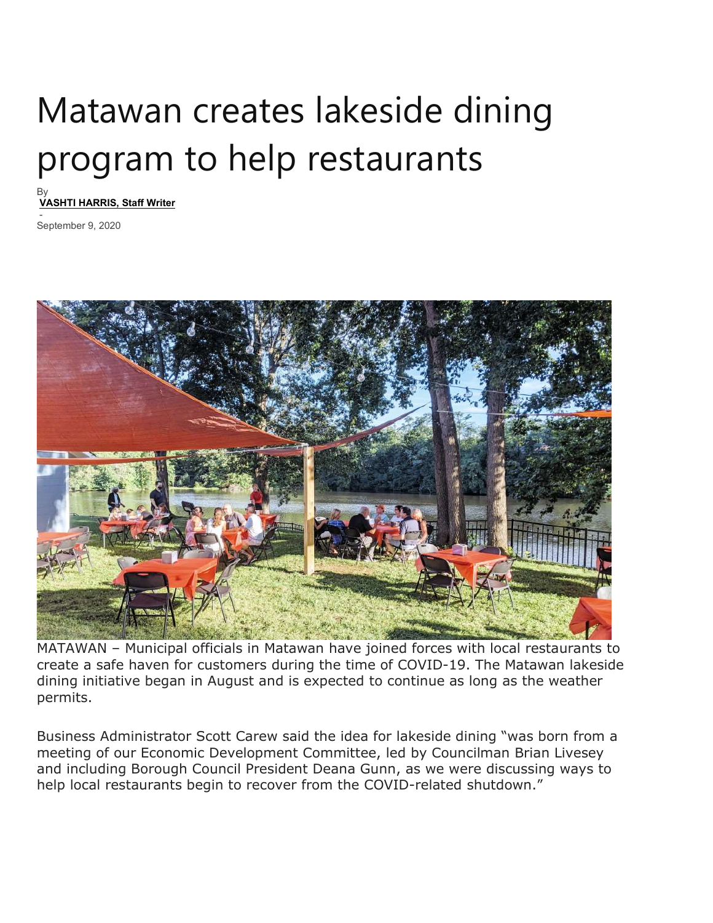## Matawan creates lakeside dining program to help restaurants

By VASHTI HARRIS, Staff Writer

 - September 9, 2020



MATAWAN – Municipal officials in Matawan have joined forces with local restaurants to create a safe haven for customers during the time of COVID-19. The Matawan lakeside dining initiative began in August and is expected to continue as long as the weather permits.

Business Administrator Scott Carew said the idea for lakeside dining "was born from a meeting of our Economic Development Committee, led by Councilman Brian Livesey and including Borough Council President Deana Gunn, as we were discussing ways to help local restaurants begin to recover from the COVID-related shutdown."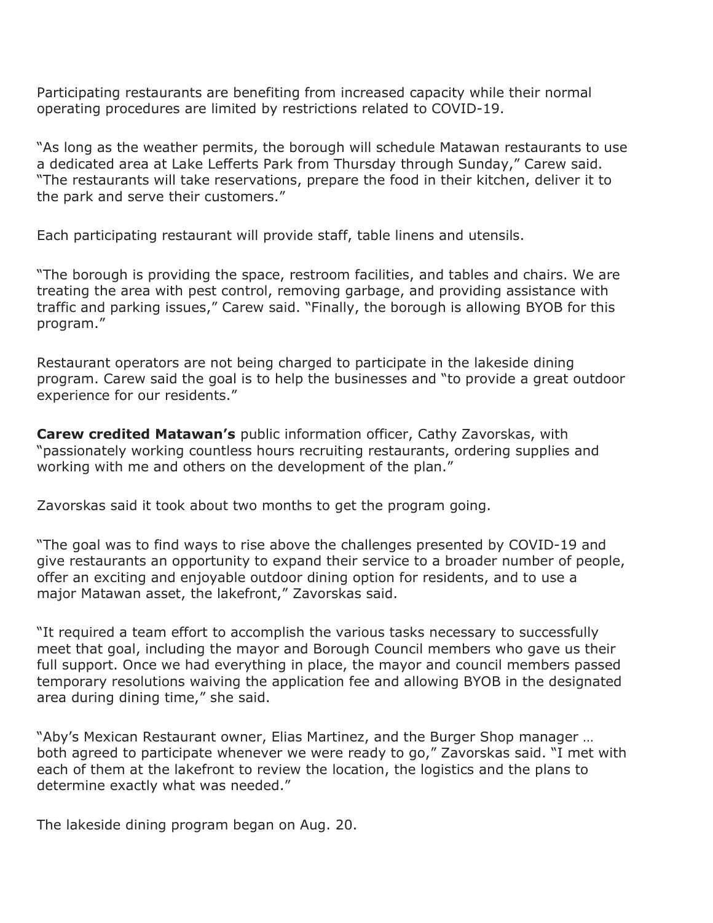Participating restaurants are benefiting from increased capacity while their normal operating procedures are limited by restrictions related to COVID-19.

"As long as the weather permits, the borough will schedule Matawan restaurants to use a dedicated area at Lake Lefferts Park from Thursday through Sunday," Carew said. "The restaurants will take reservations, prepare the food in their kitchen, deliver it to the park and serve their customers."

Each participating restaurant will provide staff, table linens and utensils.

"The borough is providing the space, restroom facilities, and tables and chairs. We are treating the area with pest control, removing garbage, and providing assistance with traffic and parking issues," Carew said. "Finally, the borough is allowing BYOB for this program."

Restaurant operators are not being charged to participate in the lakeside dining program. Carew said the goal is to help the businesses and "to provide a great outdoor experience for our residents."

**Carew credited Matawan's** public information officer, Cathy Zavorskas, with "passionately working countless hours recruiting restaurants, ordering supplies and working with me and others on the development of the plan."

Zavorskas said it took about two months to get the program going.

"The goal was to find ways to rise above the challenges presented by COVID-19 and give restaurants an opportunity to expand their service to a broader number of people, offer an exciting and enjoyable outdoor dining option for residents, and to use a major Matawan asset, the lakefront," Zavorskas said.

"It required a team effort to accomplish the various tasks necessary to successfully meet that goal, including the mayor and Borough Council members who gave us their full support. Once we had everything in place, the mayor and council members passed temporary resolutions waiving the application fee and allowing BYOB in the designated area during dining time," she said.

"Aby's Mexican Restaurant owner, Elias Martinez, and the Burger Shop manager … both agreed to participate whenever we were ready to go," Zavorskas said. "I met with each of them at the lakefront to review the location, the logistics and the plans to determine exactly what was needed."

The lakeside dining program began on Aug. 20.